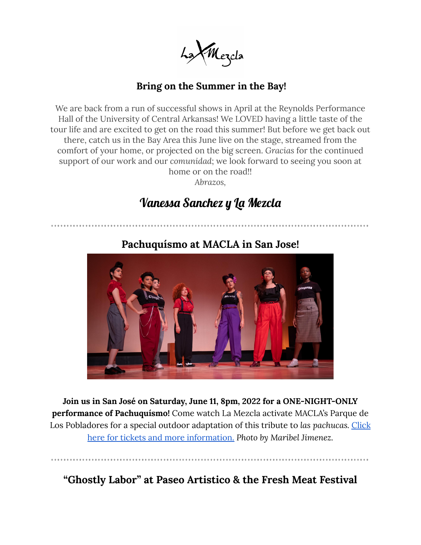La Mezda

## **Bring on the Summer in the Bay!**

We are back from a run of successful shows in April at the Reynolds Performance Hall of the University of Central Arkansas! We LOVED having a little taste of the tour life and are excited to get on the road this summer! But before we get back out there, catch us in the Bay Area this June live on the stage, streamed from the comfort of your home, or projected on the big screen. *Gracias* for the continued support of our work and our *comunidad*; we look forward to seeing you soon at home or on the road!!

*Abrazos,*

## Vanessa Sanchez y La Mezcla



## **Pachuquísmo at MACLA in San Jose!**

**Join us in San José on Saturday, June 11, 8pm, 2022 for a ONE-NIGHT-ONLY performance of Pachuquísmo!** Come watch La Mezcla activate MACLA's Parque de Los Pobladores for a special outdoor adaptation of this tribute to *las pachucas.* [Click](https://www.eventbrite.com/e/pachuquismo-at-macla-tickets-322734305997) here for tickets and more [information.](https://www.eventbrite.com/e/pachuquismo-at-macla-tickets-322734305997) *Photo by Maribel Jimenez.*

**"Ghostly Labor" at Paseo Artistico & the Fresh Meat Festival**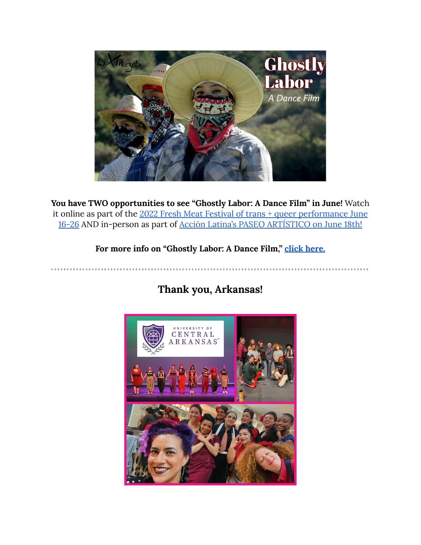

**You have TWO opportunities to see "Ghostly Labor: A Dance Film" in June!** Watch it online as part of the 2022 Fresh Meat Festival of trans + queer [performance](https://freshmeatproductions.org/calendar/current-events/) June [16-26](https://freshmeatproductions.org/calendar/current-events/) AND in-person as part of Acción Latina's PASEO [ARTÍSTICO](https://www.facebook.com/events/s/paseo-artistico-somos-esencial/479114063900900/) on June 18th!

**For more info on "Ghostly Labor: A Dance Film," click [here.](https://vanessasanchez.net/ghostly-labor/)**

**Thank you, Arkansas!**

..................

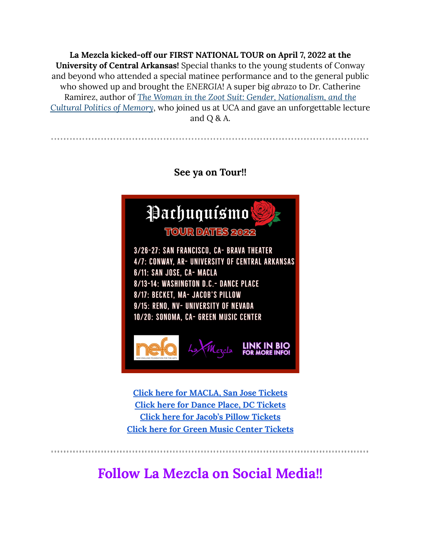**La Mezcla kicked-off our FIRST NATIONAL TOUR on April 7, 2022 at the University of Central Arkansas!** Special thanks to the young students of Conway and beyond who attended a special matinee performance and to the general public who showed up and brought the *ENERGIA*! A super big *abrazo* to Dr. Catherine Ramirez, author of *The Woman in the Zoot Suit: Gender, [Nationalism,](https://www.dukeupress.edu/the-woman-in-the-zoot-suit) and the [Cultural](https://www.dukeupress.edu/the-woman-in-the-zoot-suit) Politics of Memory*, who joined us at UCA and gave an unforgettable lecture and Q & A.



**Click here for [MACLA,](https://www.eventbrite.com/e/pachuquismo-at-macla-tickets-322734305997) San Jose Tickets Click here for Dance Place, DC [Tickets](https://www.danceplace.org/performances/vanessa-sanchez/) Click here for Jacob's Pillow [Tickets](https://www.jacobspillow.org/events/vanessa-sanchez-la-mezcla-2022/) Click here for Green Music Center [Tickets](https://gmc.sonoma.edu/pachuquismo/)**

**Follow La Mezcla on Social Media!!**

.............